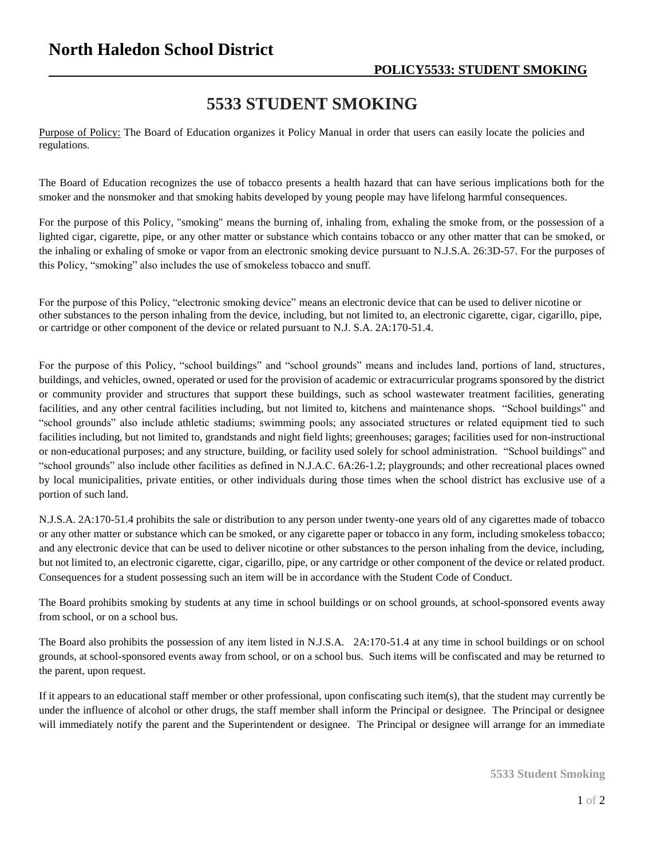## **5533 STUDENT SMOKING**

Purpose of Policy: The Board of Education organizes it Policy Manual in order that users can easily locate the policies and regulations.

The Board of Education recognizes the use of tobacco presents a health hazard that can have serious implications both for the smoker and the nonsmoker and that smoking habits developed by young people may have lifelong harmful consequences.

For the purpose of this Policy, "smoking" means the burning of, inhaling from, exhaling the smoke from, or the possession of a lighted cigar, cigarette, pipe, or any other matter or substance which contains tobacco or any other matter that can be smoked, or the inhaling or exhaling of smoke or vapor from an electronic smoking device pursuant to N.J.S.A. 26:3D-57. For the purposes of this Policy, "smoking" also includes the use of smokeless tobacco and snuff.

For the purpose of this Policy, "electronic smoking device" means an electronic device that can be used to deliver nicotine or other substances to the person inhaling from the device, including, but not limited to, an electronic cigarette, cigar, cigarillo, pipe, or cartridge or other component of the device or related pursuant to N.J. S.A. 2A:170-51.4.

For the purpose of this Policy, "school buildings" and "school grounds" means and includes land, portions of land, structures, buildings, and vehicles, owned, operated or used for the provision of academic or extracurricular programs sponsored by the district or community provider and structures that support these buildings, such as school wastewater treatment facilities, generating facilities, and any other central facilities including, but not limited to, kitchens and maintenance shops. "School buildings" and "school grounds" also include athletic stadiums; swimming pools; any associated structures or related equipment tied to such facilities including, but not limited to, grandstands and night field lights; greenhouses; garages; facilities used for non-instructional or non-educational purposes; and any structure, building, or facility used solely for school administration. "School buildings" and "school grounds" also include other facilities as defined in N.J.A.C. 6A:26-1.2; playgrounds; and other recreational places owned by local municipalities, private entities, or other individuals during those times when the school district has exclusive use of a portion of such land.

N.J.S.A. 2A:170-51.4 prohibits the sale or distribution to any person under twenty-one years old of any cigarettes made of tobacco or any other matter or substance which can be smoked, or any cigarette paper or tobacco in any form, including smokeless tobacco; and any electronic device that can be used to deliver nicotine or other substances to the person inhaling from the device, including, but not limited to, an electronic cigarette, cigar, cigarillo, pipe, or any cartridge or other component of the device or related product. Consequences for a student possessing such an item will be in accordance with the Student Code of Conduct.

The Board prohibits smoking by students at any time in school buildings or on school grounds, at school-sponsored events away from school, or on a school bus.

The Board also prohibits the possession of any item listed in N.J.S.A. 2A:170-51.4 at any time in school buildings or on school grounds, at school-sponsored events away from school, or on a school bus. Such items will be confiscated and may be returned to the parent, upon request.

If it appears to an educational staff member or other professional, upon confiscating such item(s), that the student may currently be under the influence of alcohol or other drugs, the staff member shall inform the Principal or designee. The Principal or designee will immediately notify the parent and the Superintendent or designee. The Principal or designee will arrange for an immediate

**5533 Student Smoking**